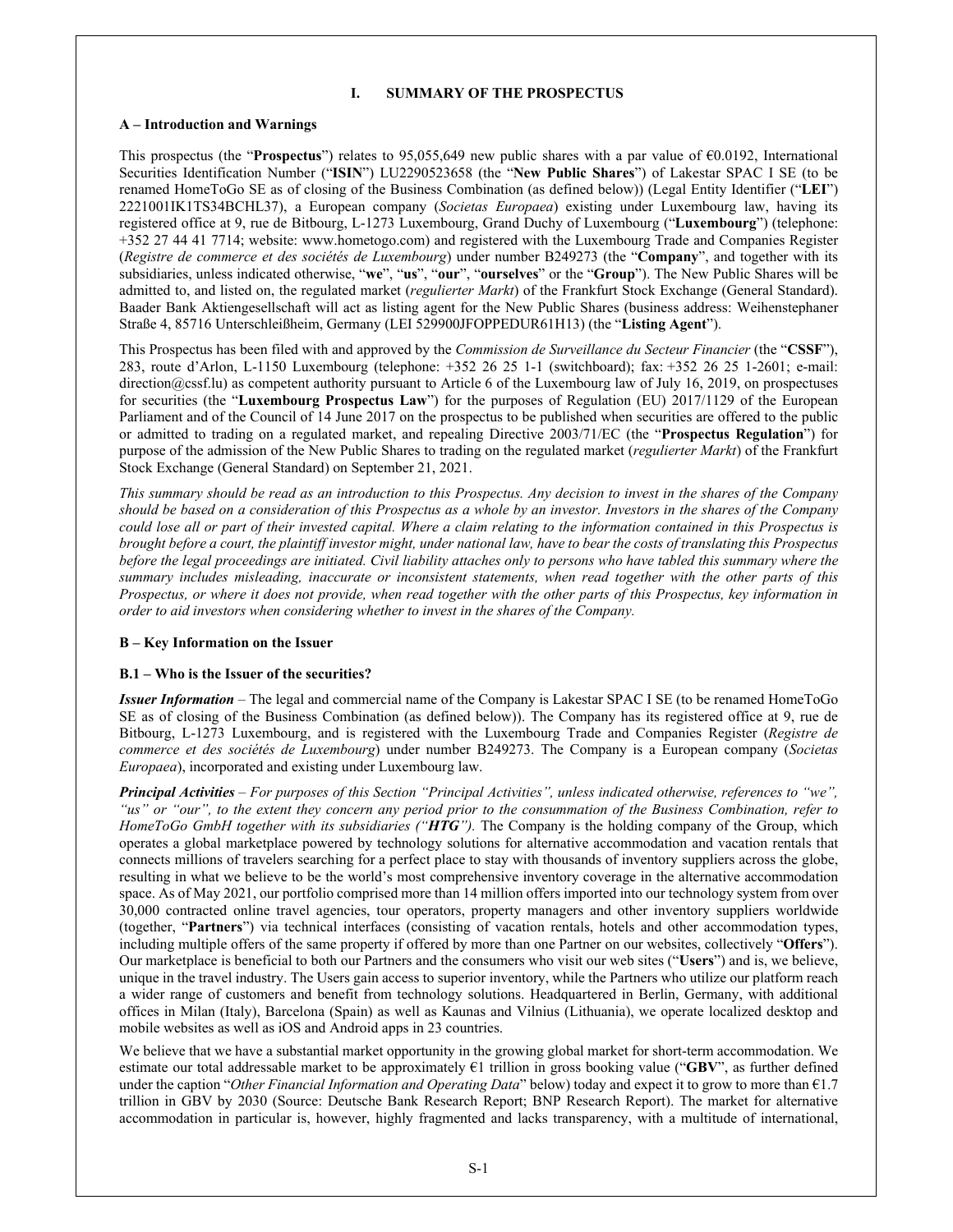### **I. SUMMARY OF THE PROSPECTUS**

#### **A – Introduction and Warnings**

This prospectus (the "**Prospectus**") relates to 95,055,649 new public shares with a par value of €0.0192, International Securities Identification Number ("**ISIN**") LU2290523658 (the "**New Public Shares**") of Lakestar SPAC I SE (to be renamed HomeToGo SE as of closing of the Business Combination (as defined below)) (Legal Entity Identifier ("**LEI**") 2221001IK1TS34BCHL37), a European company (*Societas Europaea*) existing under Luxembourg law, having its registered office at 9, rue de Bitbourg, L-1273 Luxembourg, Grand Duchy of Luxembourg ("**Luxembourg**") (telephone: +352 27 44 41 7714; website: www.hometogo.com) and registered with the Luxembourg Trade and Companies Register (*Registre de commerce et des sociétés de Luxembourg*) under number B249273 (the "**Company**", and together with its subsidiaries, unless indicated otherwise, "**we**", "**us**", "**our**", "**ourselves**" or the "**Group**"). The New Public Shares will be admitted to, and listed on, the regulated market (*regulierter Markt*) of the Frankfurt Stock Exchange (General Standard). Baader Bank Aktiengesellschaft will act as listing agent for the New Public Shares (business address: Weihenstephaner Straße 4, 85716 Unterschleißheim, Germany (LEI 529900JFOPPEDUR61H13) (the "**Listing Agent**").

This Prospectus has been filed with and approved by the *Commission de Surveillance du Secteur Financier* (the "**CSSF**"), 283, route d'Arlon, L-1150 Luxembourg (telephone: +352 26 25 1-1 (switchboard); fax: +352 26 25 1-2601; e-mail: direction@cssf.lu) as competent authority pursuant to Article 6 of the Luxembourg law of July 16, 2019, on prospectuses for securities (the "**Luxembourg Prospectus Law**") for the purposes of Regulation (EU) 2017/1129 of the European Parliament and of the Council of 14 June 2017 on the prospectus to be published when securities are offered to the public or admitted to trading on a regulated market, and repealing Directive 2003/71/EC (the "**Prospectus Regulation**") for purpose of the admission of the New Public Shares to trading on the regulated market (*regulierter Markt*) of the Frankfurt Stock Exchange (General Standard) on September 21, 2021.

*This summary should be read as an introduction to this Prospectus. Any decision to invest in the shares of the Company should be based on a consideration of this Prospectus as a whole by an investor. Investors in the shares of the Company could lose all or part of their invested capital. Where a claim relating to the information contained in this Prospectus is brought before a court, the plaintiff investor might, under national law, have to bear the costs of translating this Prospectus before the legal proceedings are initiated. Civil liability attaches only to persons who have tabled this summary where the summary includes misleading, inaccurate or inconsistent statements, when read together with the other parts of this Prospectus, or where it does not provide, when read together with the other parts of this Prospectus, key information in order to aid investors when considering whether to invest in the shares of the Company.*

### **B – Key Information on the Issuer**

### **B.1 – Who is the Issuer of the securities?**

*Issuer Information* – The legal and commercial name of the Company is Lakestar SPAC I SE (to be renamed HomeToGo SE as of closing of the Business Combination (as defined below)). The Company has its registered office at 9, rue de Bitbourg, L-1273 Luxembourg, and is registered with the Luxembourg Trade and Companies Register (*Registre de commerce et des sociétés de Luxembourg*) under number B249273. The Company is a European company (*Societas Europaea*), incorporated and existing under Luxembourg law.

*Principal Activities* – *For purposes of this Section "Principal Activities", unless indicated otherwise, references to "we", "us" or "our", to the extent they concern any period prior to the consummation of the Business Combination, refer to HomeToGo GmbH together with its subsidiaries ("HTG").* The Company is the holding company of the Group, which operates a global marketplace powered by technology solutions for alternative accommodation and vacation rentals that connects millions of travelers searching for a perfect place to stay with thousands of inventory suppliers across the globe, resulting in what we believe to be the world's most comprehensive inventory coverage in the alternative accommodation space. As of May 2021, our portfolio comprised more than 14 million offers imported into our technology system from over 30,000 contracted online travel agencies, tour operators, property managers and other inventory suppliers worldwide (together, "**Partners**") via technical interfaces (consisting of vacation rentals, hotels and other accommodation types, including multiple offers of the same property if offered by more than one Partner on our websites, collectively "**Offers**"). Our marketplace is beneficial to both our Partners and the consumers who visit our web sites ("**Users**") and is, we believe, unique in the travel industry. The Users gain access to superior inventory, while the Partners who utilize our platform reach a wider range of customers and benefit from technology solutions. Headquartered in Berlin, Germany, with additional offices in Milan (Italy), Barcelona (Spain) as well as Kaunas and Vilnius (Lithuania), we operate localized desktop and mobile websites as well as iOS and Android apps in 23 countries.

We believe that we have a substantial market opportunity in the growing global market for short-term accommodation. We estimate our total addressable market to be approximately €1 trillion in gross booking value ("**GBV**", as further defined under the caption "*Other Financial Information and Operating Data*" below) today and expect it to grow to more than €1.7 trillion in GBV by 2030 (Source: Deutsche Bank Research Report; BNP Research Report). The market for alternative accommodation in particular is, however, highly fragmented and lacks transparency, with a multitude of international,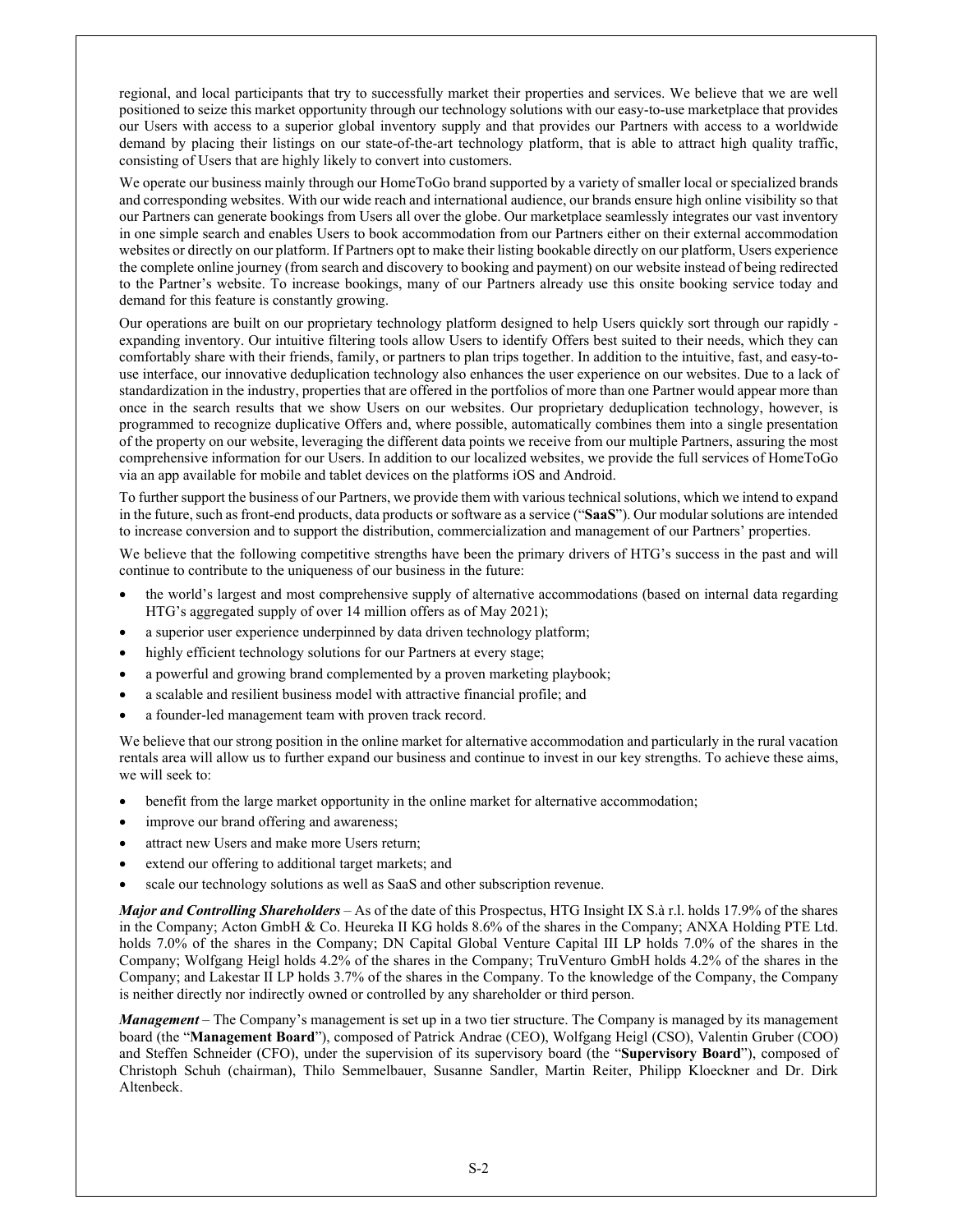regional, and local participants that try to successfully market their properties and services. We believe that we are well positioned to seize this market opportunity through our technology solutions with our easy-to-use marketplace that provides our Users with access to a superior global inventory supply and that provides our Partners with access to a worldwide demand by placing their listings on our state-of-the-art technology platform, that is able to attract high quality traffic, consisting of Users that are highly likely to convert into customers.

We operate our business mainly through our HomeToGo brand supported by a variety of smaller local or specialized brands and corresponding websites. With our wide reach and international audience, our brands ensure high online visibility so that our Partners can generate bookings from Users all over the globe. Our marketplace seamlessly integrates our vast inventory in one simple search and enables Users to book accommodation from our Partners either on their external accommodation websites or directly on our platform. If Partners opt to make their listing bookable directly on our platform, Users experience the complete online journey (from search and discovery to booking and payment) on our website instead of being redirected to the Partner's website. To increase bookings, many of our Partners already use this onsite booking service today and demand for this feature is constantly growing.

Our operations are built on our proprietary technology platform designed to help Users quickly sort through our rapidly expanding inventory. Our intuitive filtering tools allow Users to identify Offers best suited to their needs, which they can comfortably share with their friends, family, or partners to plan trips together. In addition to the intuitive, fast, and easy-touse interface, our innovative deduplication technology also enhances the user experience on our websites. Due to a lack of standardization in the industry, properties that are offered in the portfolios of more than one Partner would appear more than once in the search results that we show Users on our websites. Our proprietary deduplication technology, however, is programmed to recognize duplicative Offers and, where possible, automatically combines them into a single presentation of the property on our website, leveraging the different data points we receive from our multiple Partners, assuring the most comprehensive information for our Users. In addition to our localized websites, we provide the full services of HomeToGo via an app available for mobile and tablet devices on the platforms iOS and Android.

To further support the business of our Partners, we provide them with various technical solutions, which we intend to expand in the future, such as front-end products, data products or software as a service ("**SaaS**"). Our modular solutions are intended to increase conversion and to support the distribution, commercialization and management of our Partners' properties.

We believe that the following competitive strengths have been the primary drivers of HTG's success in the past and will continue to contribute to the uniqueness of our business in the future:

- the world's largest and most comprehensive supply of alternative accommodations (based on internal data regarding HTG's aggregated supply of over 14 million offers as of May 2021);
- a superior user experience underpinned by data driven technology platform;
- highly efficient technology solutions for our Partners at every stage;
- a powerful and growing brand complemented by a proven marketing playbook;
- a scalable and resilient business model with attractive financial profile; and
- a founder-led management team with proven track record.

We believe that our strong position in the online market for alternative accommodation and particularly in the rural vacation rentals area will allow us to further expand our business and continue to invest in our key strengths. To achieve these aims, we will seek to:

- benefit from the large market opportunity in the online market for alternative accommodation;
- improve our brand offering and awareness;
- attract new Users and make more Users return;
- extend our offering to additional target markets; and
- scale our technology solutions as well as SaaS and other subscription revenue.

*Major and Controlling Shareholders* – As of the date of this Prospectus, HTG Insight IX S.à r.l. holds 17.9% of the shares in the Company; Acton GmbH & Co. Heureka II KG holds 8.6% of the shares in the Company; ANXA Holding PTE Ltd. holds 7.0% of the shares in the Company; DN Capital Global Venture Capital III LP holds 7.0% of the shares in the Company; Wolfgang Heigl holds 4.2% of the shares in the Company; TruVenturo GmbH holds 4.2% of the shares in the Company; and Lakestar II LP holds 3.7% of the shares in the Company. To the knowledge of the Company, the Company is neither directly nor indirectly owned or controlled by any shareholder or third person.

*Management* – The Company's management is set up in a two tier structure. The Company is managed by its management board (the "**Management Board**"), composed of Patrick Andrae (CEO), Wolfgang Heigl (CSO), Valentin Gruber (COO) and Steffen Schneider (CFO), under the supervision of its supervisory board (the "**Supervisory Board**"), composed of Christoph Schuh (chairman), Thilo Semmelbauer, Susanne Sandler, Martin Reiter, Philipp Kloeckner and Dr. Dirk Altenbeck.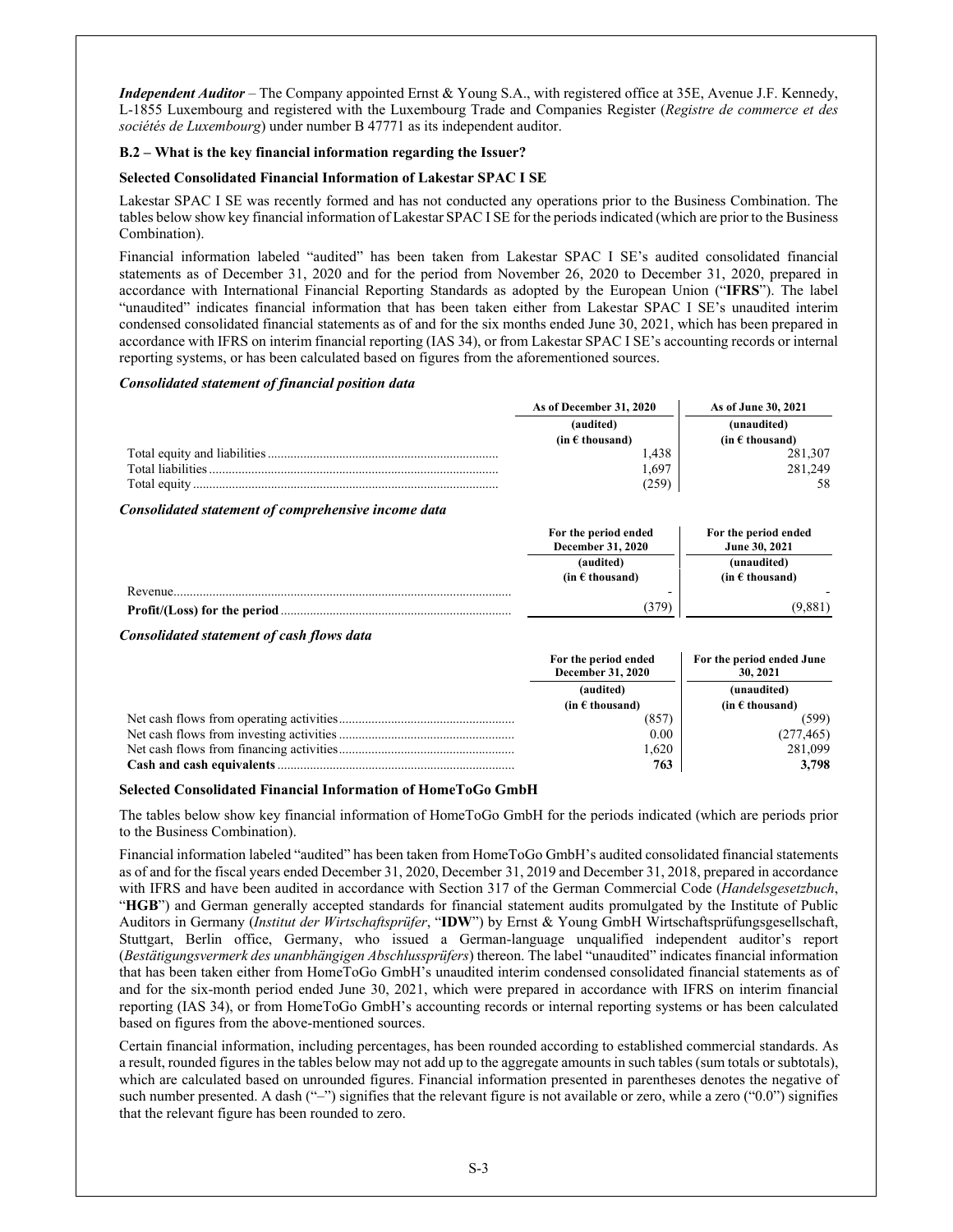*Independent Auditor* – The Company appointed Ernst & Young S.A., with registered office at 35E, Avenue J.F. Kennedy, L-1855 Luxembourg and registered with the Luxembourg Trade and Companies Register (*Registre de commerce et des sociétés de Luxembourg*) under number B 47771 as its independent auditor.

# **B.2 – What is the key financial information regarding the Issuer?**

#### **Selected Consolidated Financial Information of Lakestar SPAC I SE**

Lakestar SPAC I SE was recently formed and has not conducted any operations prior to the Business Combination. The tables below show key financial information of Lakestar SPAC I SE for the periods indicated (which are prior to the Business Combination).

Financial information labeled "audited" has been taken from Lakestar SPAC I SE's audited consolidated financial statements as of December 31, 2020 and for the period from November 26, 2020 to December 31, 2020, prepared in accordance with International Financial Reporting Standards as adopted by the European Union ("**IFRS**"). The label "unaudited" indicates financial information that has been taken either from Lakestar SPAC I SE's unaudited interim condensed consolidated financial statements as of and for the six months ended June 30, 2021, which has been prepared in accordance with IFRS on interim financial reporting (IAS 34), or from Lakestar SPAC I SE's accounting records or internal reporting systems, or has been calculated based on figures from the aforementioned sources.

#### *Consolidated statement of financial position data*

|                   | As of December 31, 2020  | As of June 30, 2021      |
|-------------------|--------------------------|--------------------------|
|                   | (audited)                | (unaudited)              |
|                   | (in $\epsilon$ thousand) | (in $\epsilon$ thousand) |
|                   | . 438                    | 281,307                  |
| Total liabilities | 697                      | 281.249                  |
| Total equity      | 259                      |                          |

#### *Consolidated statement of comprehensive income data*

|          | For the period ended<br><b>December 31, 2020</b> | For the period ended<br>June 30, 2021 |
|----------|--------------------------------------------------|---------------------------------------|
|          | (audited)                                        | (unaudited)                           |
|          | (in $\epsilon$ thousand)                         | $(in \in \mathsf{thousand})$          |
| Revenue. |                                                  |                                       |
|          | (379)                                            | (9,881)                               |

#### *Consolidated statement of cash flows data*

| For the period ended<br><b>December 31, 2020</b> | For the period ended June<br>30, 2021 |
|--------------------------------------------------|---------------------------------------|
| (audited)                                        | (unaudited)                           |
| (in $\epsilon$ thousand)                         | (in $\epsilon$ thousand)              |
| (857                                             | (599)                                 |
| 0.00                                             | (277, 465)                            |
| 1,620                                            | 281,099                               |
| 763                                              | 3.798                                 |

### **Selected Consolidated Financial Information of HomeToGo GmbH**

The tables below show key financial information of HomeToGo GmbH for the periods indicated (which are periods prior to the Business Combination).

Financial information labeled "audited" has been taken from HomeToGo GmbH's audited consolidated financial statements as of and for the fiscal years ended December 31, 2020, December 31, 2019 and December 31, 2018, prepared in accordance with IFRS and have been audited in accordance with Section 317 of the German Commercial Code (*Handelsgesetzbuch*, "**HGB**") and German generally accepted standards for financial statement audits promulgated by the Institute of Public Auditors in Germany (*Institut der Wirtschaftsprüfer*, "**IDW**") by Ernst & Young GmbH Wirtschaftsprüfungsgesellschaft, Stuttgart, Berlin office, Germany, who issued a German-language unqualified independent auditor's report (*Bestätigungsvermerk des unanbhängigen Abschlussprüfers*) thereon. The label "unaudited" indicates financial information that has been taken either from HomeToGo GmbH's unaudited interim condensed consolidated financial statements as of and for the six-month period ended June 30, 2021, which were prepared in accordance with IFRS on interim financial reporting (IAS 34), or from HomeToGo GmbH's accounting records or internal reporting systems or has been calculated based on figures from the above-mentioned sources.

Certain financial information, including percentages, has been rounded according to established commercial standards. As a result, rounded figures in the tables below may not add up to the aggregate amounts in such tables (sum totals or subtotals), which are calculated based on unrounded figures. Financial information presented in parentheses denotes the negative of such number presented. A dash  $(\lq - \rceil)$  signifies that the relevant figure is not available or zero, while a zero  $(\lq 0.0)$  signifies that the relevant figure has been rounded to zero.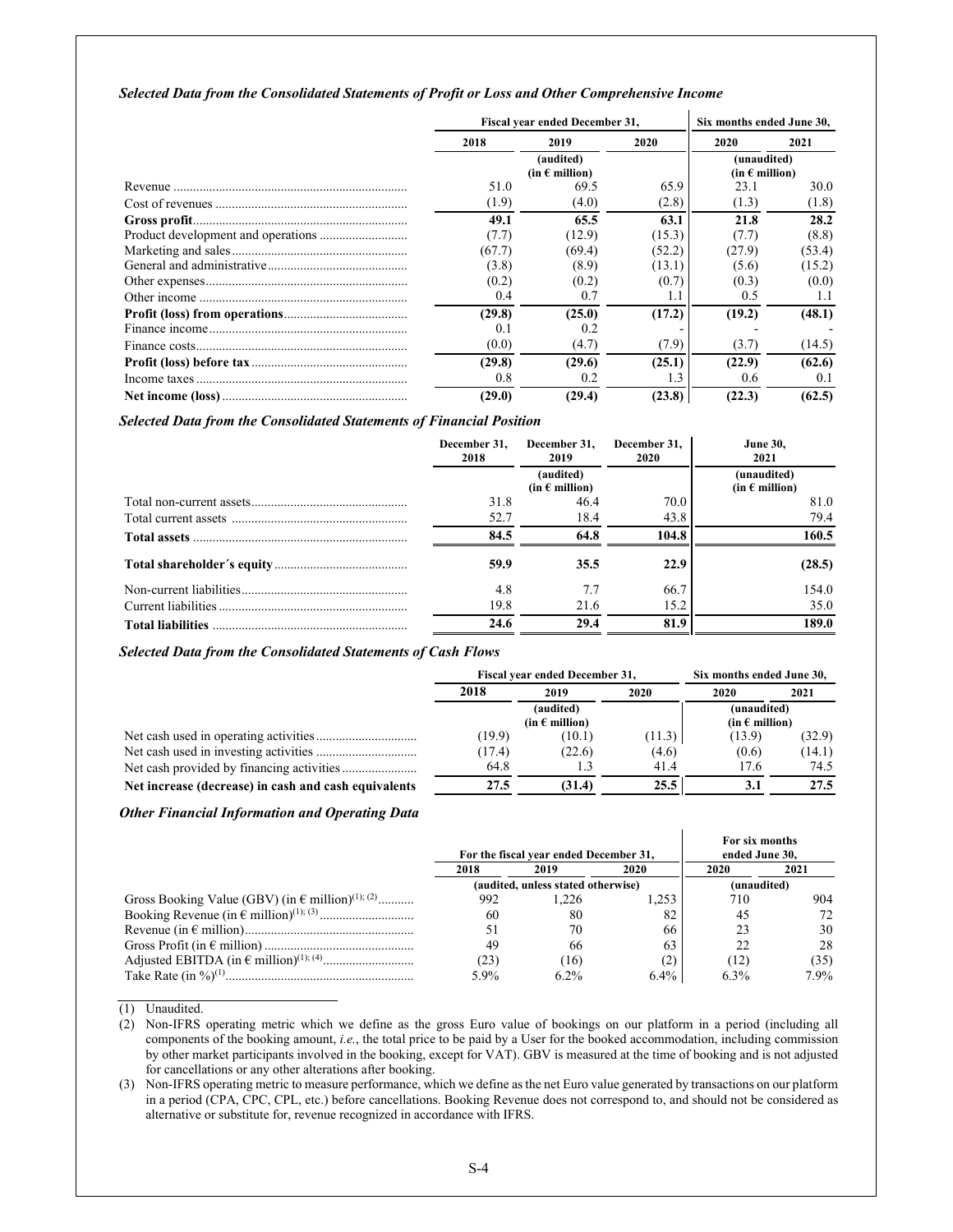#### *Selected Data from the Consolidated Statements of Profit or Loss and Other Comprehensive Income*

| Fiscal year ended December 31, |                                      |        | Six months ended June 30,              |        |  |
|--------------------------------|--------------------------------------|--------|----------------------------------------|--------|--|
| 2018                           | 2019                                 | 2020   | 2020                                   | 2021   |  |
|                                | (audited)<br>(in $\epsilon$ million) |        | (unaudited)<br>(in $\epsilon$ million) |        |  |
| 51.0                           | 69.5                                 | 65.9   | 23.1                                   | 30.0   |  |
| (1.9)                          | (4.0)                                | (2.8)  | (1.3)                                  | (1.8)  |  |
| 49.1                           | 65.5                                 | 63.1   | 21.8                                   | 28.2   |  |
| (7.7)                          | (12.9)                               | (15.3) | (7.7)                                  | (8.8)  |  |
| (67.7)                         | (69.4)                               | (52.2) | (27.9)                                 | (53.4) |  |
| (3.8)                          | (8.9)                                | (13.1) | (5.6)                                  | (15.2) |  |
| (0.2)                          | (0.2)                                | (0.7)  | (0.3)                                  | (0.0)  |  |
| 0.4                            | 0.7                                  |        | 0.5                                    | 1.1    |  |
| (29.8)                         | (25.0)                               | (17.2) | (19.2)                                 | (48.1) |  |
| 0.1                            | 0.2                                  |        |                                        |        |  |
| (0.0)                          | (4.7)                                | (7.9)  | (3.7)                                  | (14.5) |  |
| (29.8)                         | (29.6)                               | (25.1) | (22.9)                                 | (62.6) |  |
| 0.8                            | 0.2                                  | 1.3    | $0.6^{\circ}$                          | 0.1    |  |
| (29.0)                         | (29.4)                               | (23.8) | (22.3)                                 | (62.5) |  |

#### *Selected Data from the Consolidated Statements of Financial Position*

| December 31.<br>2018 | December 31.<br>2019                 | December 31,<br>2020 | <b>June 30,</b><br>2021                |
|----------------------|--------------------------------------|----------------------|----------------------------------------|
|                      | (audited)<br>(in $\epsilon$ million) |                      | (unaudited)<br>(in $\epsilon$ million) |
| 31.8                 | 46.4                                 | 70.0                 | 81.0                                   |
| 52.7                 | 18.4                                 | 43.8                 | 79.4                                   |
| 84.5                 | 64.8                                 | 104.8                | 160.5                                  |
| 59.9                 | 35.5                                 | 22.9                 | (28.5)                                 |
| 4.8                  | 7.7                                  | 66.7                 | 154.0                                  |
| 19.8                 | 21.6                                 | 15.2                 | 35.0                                   |
| 24.6                 | 29.4                                 | 81.9                 | 189.0                                  |

*Selected Data from the Consolidated Statements of Cash Flows*

|                                                      | Fiscal year ended December 31, |                                      |        | Six months ended June 30,              |        |  |
|------------------------------------------------------|--------------------------------|--------------------------------------|--------|----------------------------------------|--------|--|
|                                                      | 2018<br>2019                   |                                      | 2020   |                                        | 2021   |  |
|                                                      |                                | (audited)<br>(in $\epsilon$ million) |        | (unaudited)<br>(in $\epsilon$ million) |        |  |
|                                                      | (19.9)                         | (10.1)                               | (11.3) | (13.9)                                 | (32.9) |  |
|                                                      | (17.4)                         | (22.6)                               | (4.6)  | (0.6)                                  | (14.1) |  |
|                                                      | 64.8                           | 1.3                                  | 41.4   | 17.6                                   | 74.5   |  |
| Net increase (decrease) in cash and cash equivalents | 27.5                           | (31.4)                               | 25.5   |                                        | 27.5   |  |

#### *Other Financial Information and Operating Data*

|                                                                       |      | For the fiscal year ended December 31, |         | For six months<br>ended June 30, |         |
|-----------------------------------------------------------------------|------|----------------------------------------|---------|----------------------------------|---------|
|                                                                       | 2018 | 2019                                   | 2020    | 2020                             | 2021    |
|                                                                       |      | (audited, unless stated otherwise)     |         | (unaudited)                      |         |
| Gross Booking Value (GBV) (in $\epsilon$ million) <sup>(1); (2)</sup> | 992  | 1.226                                  | 1.253   | 710                              | 904     |
|                                                                       | 60   | 80                                     | 82      | 45                               |         |
|                                                                       | 51   | 70                                     | 66      |                                  | 30      |
|                                                                       | 49   | 66                                     | 63      |                                  | 28      |
|                                                                       | (23) | (16)                                   |         | (12)                             | (35)    |
|                                                                       | 5.9% | $6.2\%$                                | $6.4\%$ | 6.3%                             | $7.9\%$ |

(1) Unaudited.

(2) Non-IFRS operating metric which we define as the gross Euro value of bookings on our platform in a period (including all components of the booking amount, *i.e.*, the total price to be paid by a User for the booked accommodation, including commission by other market participants involved in the booking, except for VAT). GBV is measured at the time of booking and is not adjusted for cancellations or any other alterations after booking.

(3) Non-IFRS operating metric to measure performance, which we define as the net Euro value generated by transactions on our platform in a period (CPA, CPC, CPL, etc.) before cancellations. Booking Revenue does not correspond to, and should not be considered as alternative or substitute for, revenue recognized in accordance with IFRS.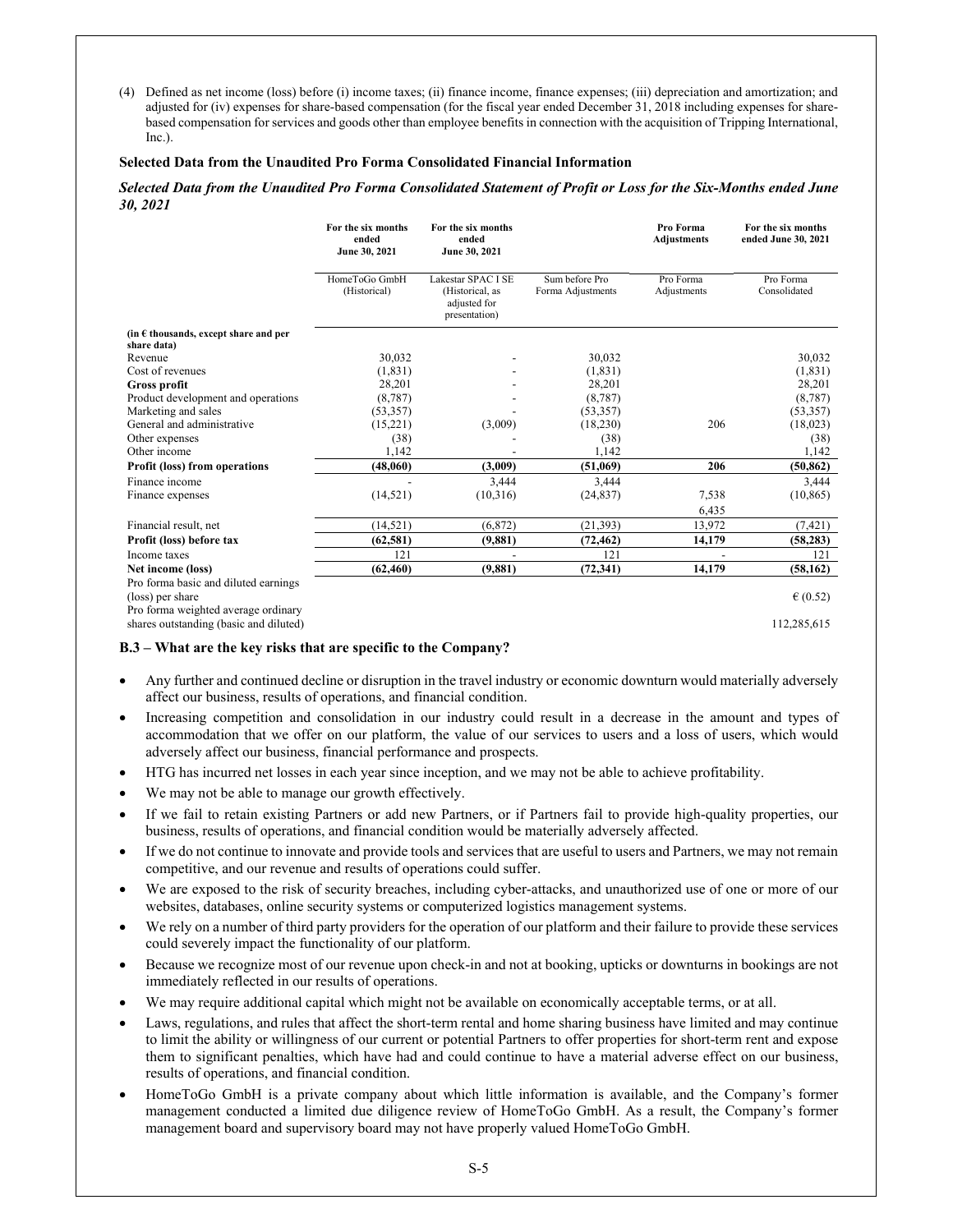(4) Defined as net income (loss) before (i) income taxes; (ii) finance income, finance expenses; (iii) depreciation and amortization; and adjusted for (iv) expenses for share-based compensation (for the fiscal year ended December 31, 2018 including expenses for sharebased compensation for services and goods other than employee benefits in connection with the acquisition of Tripping International,  $Inc.$ ).

### **Selected Data from the Unaudited Pro Forma Consolidated Financial Information**

#### *Selected Data from the Unaudited Pro Forma Consolidated Statement of Profit or Loss for the Six-Months ended June 30, 2021*

|                                                | For the six months<br>ended<br>June 30, 2021 | For the six months<br>ended<br>June 30, 2021                           |                                     | Pro Forma<br><b>Adjustments</b> | For the six months<br>ended June 30, 2021 |
|------------------------------------------------|----------------------------------------------|------------------------------------------------------------------------|-------------------------------------|---------------------------------|-------------------------------------------|
|                                                | HomeToGo GmbH<br>(Historical)                | Lakestar SPAC I SE<br>(Historical, as<br>adjusted for<br>presentation) | Sum before Pro<br>Forma Adjustments | Pro Forma<br>Adjustments        | Pro Forma<br>Consolidated                 |
| (in $\epsilon$ thousands, except share and per |                                              |                                                                        |                                     |                                 |                                           |
| share data)                                    |                                              |                                                                        |                                     |                                 |                                           |
| Revenue                                        | 30,032                                       |                                                                        | 30,032                              |                                 | 30,032                                    |
| Cost of revenues                               | (1, 831)                                     |                                                                        | (1, 831)                            |                                 | (1, 831)                                  |
| Gross profit                                   | 28,201                                       |                                                                        | 28,201                              |                                 | 28,201                                    |
| Product development and operations             | (8, 787)                                     |                                                                        | (8, 787)                            |                                 | (8, 787)                                  |
| Marketing and sales                            | (53, 357)                                    |                                                                        | (53, 357)                           |                                 | (53, 357)                                 |
| General and administrative                     | (15,221)                                     | (3,009)                                                                | (18, 230)                           | 206                             | (18,023)                                  |
| Other expenses                                 | (38)                                         |                                                                        | (38)                                |                                 | (38)                                      |
| Other income                                   | 1,142                                        |                                                                        | 1,142                               |                                 | 1,142                                     |
| <b>Profit (loss) from operations</b>           | (48,060)                                     | (3,009)                                                                | (51,069)                            | 206                             | (50, 862)                                 |
| Finance income                                 |                                              | 3.444                                                                  | 3.444                               |                                 | 3,444                                     |
| Finance expenses                               | (14, 521)                                    | (10,316)                                                               | (24, 837)                           | 7,538                           | (10, 865)                                 |
|                                                |                                              |                                                                        |                                     | 6,435                           |                                           |
| Financial result, net                          | (14, 521)                                    | (6, 872)                                                               | (21, 393)                           | 13,972                          | (7, 421)                                  |
| Profit (loss) before tax                       | (62, 581)                                    | (9,881)                                                                | (72, 462)                           | 14,179                          | (58, 283)                                 |
| Income taxes                                   | 121                                          |                                                                        | 121                                 |                                 | 121                                       |
| Net income (loss)                              | (62, 460)                                    | (9,881)                                                                | (72, 341)                           | 14,179                          | (58, 162)                                 |
| Pro forma basic and diluted earnings           |                                              |                                                                        |                                     |                                 |                                           |
| (loss) per share                               |                                              |                                                                        |                                     |                                 | $\epsilon$ (0.52)                         |
| Pro forma weighted average ordinary            |                                              |                                                                        |                                     |                                 |                                           |
| shares outstanding (basic and diluted)         |                                              |                                                                        |                                     |                                 | 112.285.615                               |

### **B.3 – What are the key risks that are specific to the Company?**

- Any further and continued decline or disruption in the travel industry or economic downturn would materially adversely affect our business, results of operations, and financial condition.
- Increasing competition and consolidation in our industry could result in a decrease in the amount and types of accommodation that we offer on our platform, the value of our services to users and a loss of users, which would adversely affect our business, financial performance and prospects.
- HTG has incurred net losses in each year since inception, and we may not be able to achieve profitability.
- We may not be able to manage our growth effectively.
- If we fail to retain existing Partners or add new Partners, or if Partners fail to provide high-quality properties, our business, results of operations, and financial condition would be materially adversely affected.
- If we do not continue to innovate and provide tools and services that are useful to users and Partners, we may not remain competitive, and our revenue and results of operations could suffer.
- We are exposed to the risk of security breaches, including cyber-attacks, and unauthorized use of one or more of our websites, databases, online security systems or computerized logistics management systems.
- We rely on a number of third party providers for the operation of our platform and their failure to provide these services could severely impact the functionality of our platform.
- Because we recognize most of our revenue upon check-in and not at booking, upticks or downturns in bookings are not immediately reflected in our results of operations.
- We may require additional capital which might not be available on economically acceptable terms, or at all.
- Laws, regulations, and rules that affect the short-term rental and home sharing business have limited and may continue to limit the ability or willingness of our current or potential Partners to offer properties for short-term rent and expose them to significant penalties, which have had and could continue to have a material adverse effect on our business, results of operations, and financial condition.
- HomeToGo GmbH is a private company about which little information is available, and the Company's former management conducted a limited due diligence review of HomeToGo GmbH. As a result, the Company's former management board and supervisory board may not have properly valued HomeToGo GmbH.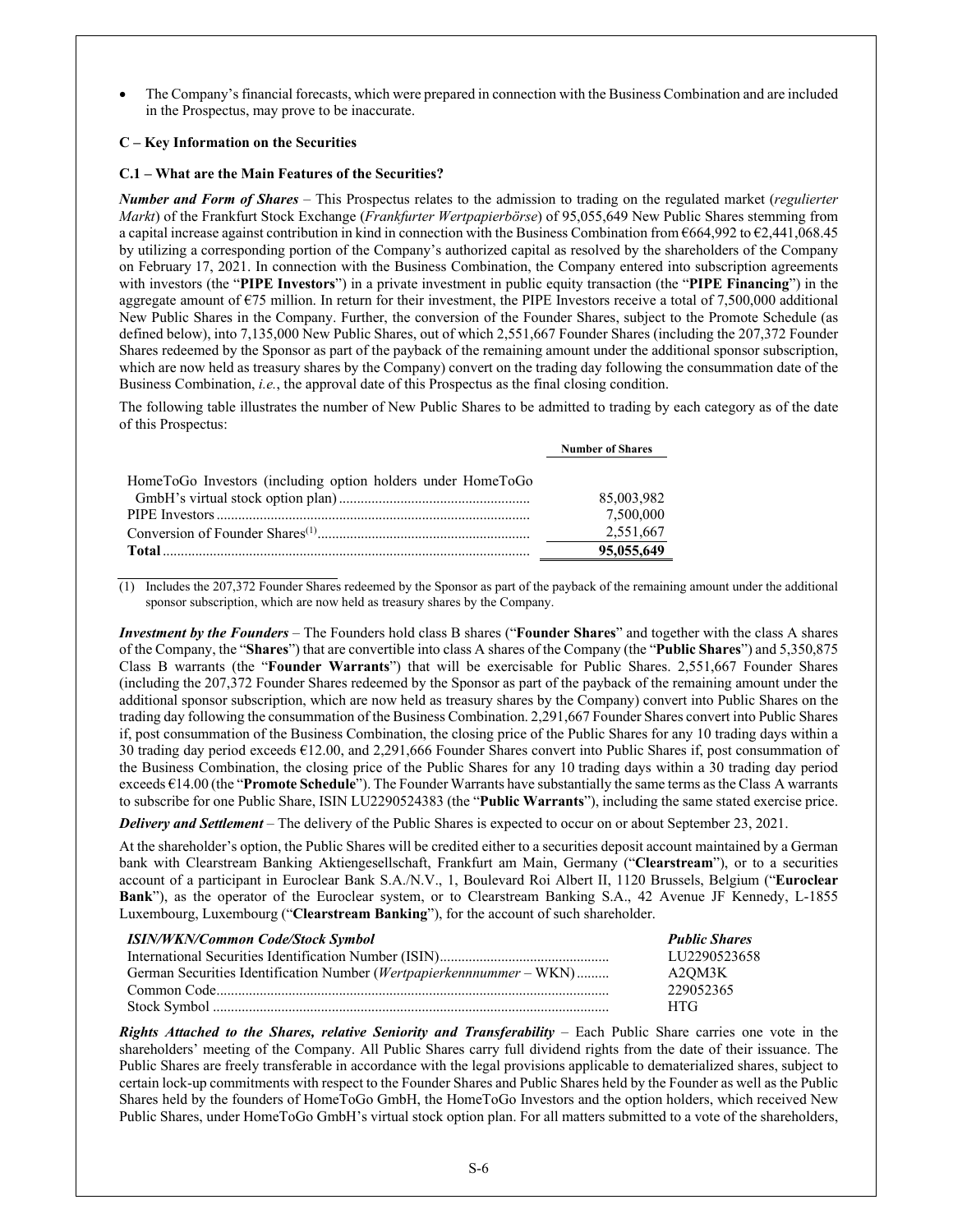The Company's financial forecasts, which were prepared in connection with the Business Combination and are included in the Prospectus, may prove to be inaccurate.

# **C – Key Information on the Securities**

### **C.1 – What are the Main Features of the Securities?**

*Number and Form of Shares* – This Prospectus relates to the admission to trading on the regulated market (*regulierter Markt*) of the Frankfurt Stock Exchange (*Frankfurter Wertpapierbörse*) of 95,055,649 New Public Shares stemming from a capital increase against contribution in kind in connection with the Business Combination from €664,992 to €2,441,068.45 by utilizing a corresponding portion of the Company's authorized capital as resolved by the shareholders of the Company on February 17, 2021. In connection with the Business Combination, the Company entered into subscription agreements with investors (the "**PIPE Investors**") in a private investment in public equity transaction (the "**PIPE Financing**") in the aggregate amount of  $\epsilon$ 75 million. In return for their investment, the PIPE Investors receive a total of 7,500,000 additional New Public Shares in the Company. Further, the conversion of the Founder Shares, subject to the Promote Schedule (as defined below), into 7,135,000 New Public Shares, out of which 2,551,667 Founder Shares (including the 207,372 Founder Shares redeemed by the Sponsor as part of the payback of the remaining amount under the additional sponsor subscription, which are now held as treasury shares by the Company) convert on the trading day following the consummation date of the Business Combination, *i.e.*, the approval date of this Prospectus as the final closing condition.

The following table illustrates the number of New Public Shares to be admitted to trading by each category as of the date of this Prospectus:

**Number of Shares** 

| HomeToGo Investors (including option holders under HomeToGo |            |
|-------------------------------------------------------------|------------|
|                                                             | 85,003,982 |
|                                                             | 7,500,000  |
|                                                             | 2,551,667  |
|                                                             | 95,055,649 |

 $(1)$  Includes the 207,372 Founder Shares redeemed by the Sponsor as part of the payback of the remaining amount under the additional sponsor subscription, which are now held as treasury shares by the Company.

*Investment by the Founders* – The Founders hold class B shares ("**Founder Shares**" and together with the class A shares of the Company, the "**Shares**") that are convertible into class A shares of the Company (the "**Public Shares**") and 5,350,875 Class B warrants (the "**Founder Warrants**") that will be exercisable for Public Shares. 2,551,667 Founder Shares (including the 207,372 Founder Shares redeemed by the Sponsor as part of the payback of the remaining amount under the additional sponsor subscription, which are now held as treasury shares by the Company) convert into Public Shares on the trading day following the consummation of the Business Combination. 2,291,667 Founder Shares convert into Public Shares if, post consummation of the Business Combination, the closing price of the Public Shares for any 10 trading days within a 30 trading day period exceeds €12.00, and 2,291,666 Founder Shares convert into Public Shares if, post consummation of the Business Combination, the closing price of the Public Shares for any 10 trading days within a 30 trading day period exceeds €14.00 (the "**Promote Schedule**"). The Founder Warrants have substantially the same terms as the Class A warrants to subscribe for one Public Share, ISIN LU2290524383 (the "**Public Warrants**"), including the same stated exercise price.

*Delivery and Settlement* – The delivery of the Public Shares is expected to occur on or about September 23, 2021.

At the shareholder's option, the Public Shares will be credited either to a securities deposit account maintained by a German bank with Clearstream Banking Aktiengesellschaft, Frankfurt am Main, Germany ("**Clearstream**"), or to a securities account of a participant in Euroclear Bank S.A./N.V., 1, Boulevard Roi Albert II, 1120 Brussels, Belgium ("**Euroclear Bank**"), as the operator of the Euroclear system, or to Clearstream Banking S.A., 42 Avenue JF Kennedy, L-1855 Luxembourg, Luxembourg ("**Clearstream Banking**"), for the account of such shareholder.

| <b>ISIN/WKN/Common Code/Stock Symbol</b>                                     | <b>Public Shares</b> |
|------------------------------------------------------------------------------|----------------------|
|                                                                              | LU2290523658         |
| German Securities Identification Number ( <i>Wertpapierkennnummer</i> – WKN) | A2OM3K               |
|                                                                              | 229052365            |
|                                                                              | <b>HTG</b>           |

*Rights Attached to the Shares, relative Seniority and Transferability* – Each Public Share carries one vote in the shareholders' meeting of the Company. All Public Shares carry full dividend rights from the date of their issuance. The Public Shares are freely transferable in accordance with the legal provisions applicable to dematerialized shares, subject to certain lock-up commitments with respect to the Founder Shares and Public Shares held by the Founder as well as the Public Shares held by the founders of HomeToGo GmbH, the HomeToGo Investors and the option holders, which received New Public Shares, under HomeToGo GmbH's virtual stock option plan. For all matters submitted to a vote of the shareholders,